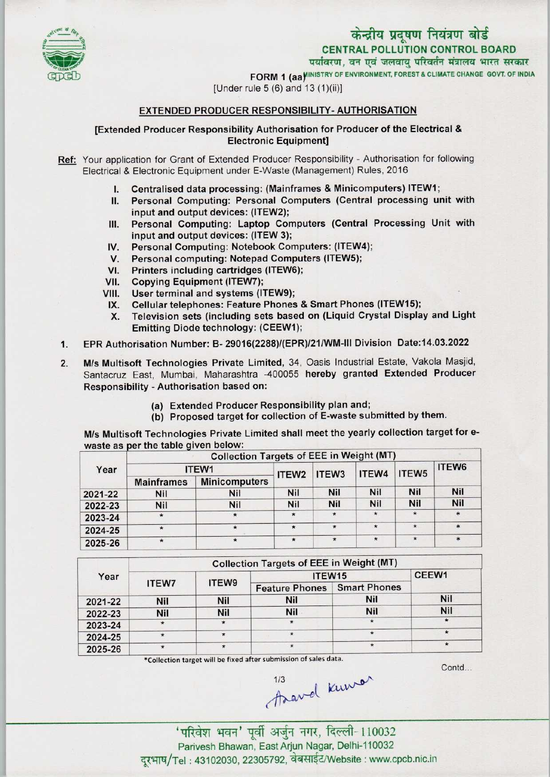



FORM 1 (aa) INISTRY OF ENVIRONMENT, FOREST & CLIMATE CHANGE GOVT. OF INDIA

[Under rule 5 (6) and 13 (1)(ii)]

## EXTENDED PRODUCER RESPONSIBILITY-AUTHORISATION

[Extended Producer Responsibility Authorisation for Producer of the Electrical & **Electronic Equipment]** 

Ref: Your application for Grant of Extended Producer Responsibility - Authorisation for following Electrical & Electronic Equipment under E-Waste (Management) Rules, 2016

- I. Centralised data processing: (Mainframes & Minicomputers) ITEW1;<br>II. Personal Computing: Personal Computers (Central processing un
- Personal Computing: Personal Computers (Central processing unit with input and output devices: (ITEW2);
- III. Personal Computing: Laptop Computers (Central Processing Unit with input and output devices: (ITEW 3);
- IV. Personal Computing: Notebook Computers: (ITEW4);<br>V. Personal computing: Notepad Computers (ITEW5);
- Personal computing: Notepad Computers (ITEW5);
- VI. Printers including cartridges (ITEW6);<br>VII. Copying Equipment (ITEW7);
- VII. Copying Equipment (ITEW7);<br>VIII. User terminal and systems (IT
- 
- VIII. User terminal and systems (ITEW9);<br>IX. Cellular telephones: Feature Phones IX. Cellular telephones: Feature Phones & Smart Phones (ITEW15);<br>X. Television sets (including sets based on (Liquid Crystal Displa
- Television sets (including sets based on (Liquid Crystal Display and Light Emitting Diode technology: (CEEW1);
- 1.EPR Authorisation Number: B- 29016(2288)/(EPR)/21/WM-lll Division Date: 14.03.2022
- 2. M/s Multisoft Technologies Private Limited, 34, Oasis Industrial Estate, Vakola Masjid, Santacruz East, Mumbai, Maharashtra -400055 hereby granted Extended Producer Responsibility - Authorisation based on:
	- (a) Extended Producer Responsibility plan and;
	- (b) Proposed target for collection of E-waste submitted by them.

M/s Multisoft Technologies Private Limited shall meet the yearly collection target for ewaste as per the table given below:

| Year    | -<br><b>Collection Targets of EEE in Weight (MT)</b> |                      |                   |                   |            |                   |        |  |  |
|---------|------------------------------------------------------|----------------------|-------------------|-------------------|------------|-------------------|--------|--|--|
|         | ITEW1                                                |                      | ITEW <sub>2</sub> | ITEW <sub>3</sub> | ITEW4      | ITEW <sub>5</sub> | ITEW6  |  |  |
|         | <b>Mainframes</b>                                    | <b>Minicomputers</b> |                   |                   |            |                   |        |  |  |
| 2021-22 | <b>Nil</b>                                           | Nil                  | <b>Nil</b>        | <b>Nil</b>        | <b>Nil</b> | <b>Nil</b>        | Nil    |  |  |
| 2022-23 | Nil                                                  | Nil                  | Nil               | <b>Nil</b>        | <b>Nil</b> | Nil               | Nil    |  |  |
| 2023-24 | $\star$                                              | $\star$              | $\star$           | $\ast$            | $\star$    | $\star$           | $\ast$ |  |  |
| 2024-25 |                                                      | $\star$              |                   | $\star$           | $\star$    | $\star$           | $\ast$ |  |  |
| 2025-26 |                                                      | $\star$              | $\star$           | $\star$           | $\star$    | $\star$           |        |  |  |

| Year    | <b>Collection Targets of EEE in Weight (MT)</b> |            |                       |                     |            |  |  |  |
|---------|-------------------------------------------------|------------|-----------------------|---------------------|------------|--|--|--|
|         | <b>ITEW7</b>                                    | ITEW9      | ITEW15                | CEEW1               |            |  |  |  |
|         |                                                 |            | <b>Feature Phones</b> | <b>Smart Phones</b> |            |  |  |  |
| 2021-22 | Nil                                             | <b>Nil</b> | Nil                   | <b>Nil</b>          | <b>Nil</b> |  |  |  |
| 2022-23 | Nil                                             | <b>Nil</b> | Nil                   | Nil                 | Nil        |  |  |  |
| 2023-24 | $\star$                                         | $\star$    |                       | $\star$             |            |  |  |  |
| 2024-25 | $\star$                                         | $\star$    | $\star$               | $\star$             | $\star$    |  |  |  |
| 2025-26 |                                                 |            |                       |                     | $\star$    |  |  |  |

^Collection target will be fixed after submission of sales data.

Contd.

'परिवेश भवन' पूर्वी अर्जुन नगर, दिल्ली-110032 Parivesh Bhawan, East Arjun Nagar, Delhi-110032 दूरभाष/Tel: 43102030, 22305792, वेबसाईट/Website : www.cpcb.nic.in

thavel know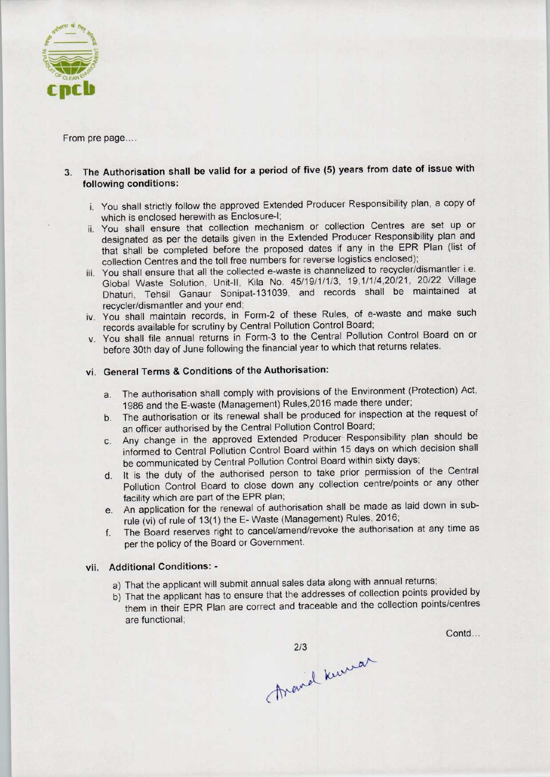

From pre page....

- 3. The Authorisation shall be valid for a period of five (5) years from date of issue with following conditions:
	- i. You shall strictly follow the approved Extended Producer Responsibility plan, a copy of which is enclosed herewith as Enclosure-I;
	- ii. You shall ensure that collection mechanism or collection Centres are set up or designated as per the details given in the Extended Producer Responsibility plan and that shall be completed before the proposed dates if any in the EPR Plan (list of collection Centres and the toll free numbers for reverse logistics enclosed);
	- iii. You shall ensure that all the collected e-waste is channelized to recycler/dismantler i.e. Global Waste Solution, Unit-ll, Kila No. 45/19/1/1/3, 19,1/1/4.20/21, 20/22 Village Dhaturi, Tehsil Ganaur Sonipat-131039, and records shall be maintained at recycler/dismantler and your end;
	- iv. You shall maintain records, in Form-2 of these Rules, of e-waste and make such records available for scrutiny by Central Pollution Control Board;
	- v. You shall file annual returns in Form-3 to the Central Pollution Control Board on or before 30th day of June following the financial year to which that returns relates.

## vi. General Terms & Conditions of the Authorisation:

- a. The authorisation shall comply with provisions of the Environment (Protection) Act, 1986 and the E-waste (Management) Rules,2016 made there under;
- b.The authorisation or its renewal shall be produced for inspection at the request of an officer authorised by the Central Pollution Control Board;
- c.Any change in the approved Extended Producer Responsibility plan should be informed to Central Pollution Control Board within 15 days on which decision shall be communicated by Central Pollution Control Board within sixty days;
- d. It is the duty of the authorised person to take prior permission of the Central Pollution Control Board to close down any collection centre/points or any other facility which are part of the EPR plan;
- e.An application for the renewal of authorisation shall be made aslaid down in subrule (vi) of rule of 13(1) the E- Waste (Management) Rules, 2016;
- f. The Board reserves right to cancel/amend/revoke the authorisation at any time as per the policy of the Board or Government.

## vii. Additional Conditions: -

- a) That the applicant will submit annual sales data along with annual returns;
- b) That the applicant has to ensure that the addresses of collection points provided by them in their EPR Plan are correct and traceable and the collection points/centres are functional;

Contd...

213 Remaran